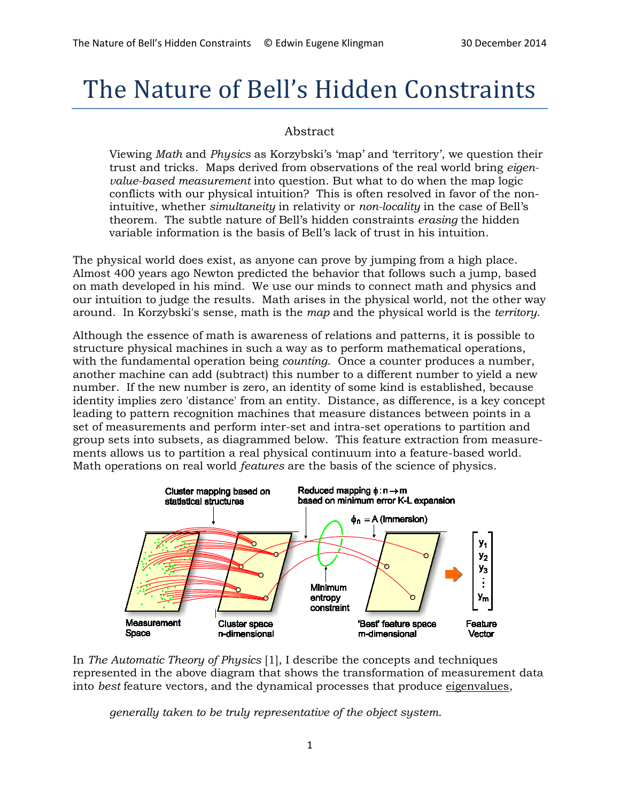# The Nature of Bell's Hidden Constraints

### Abstract

Viewing *Math* and *Physics* as Korzybski's 'map' and 'territory', we question their trust and tricks. Maps derived from observations of the real world bring *eigenvalue-based measurement* into question. But what to do when the map logic conflicts with our physical intuition? This is often resolved in favor of the nonintuitive, whether *simultaneity* in relativity or *non-locality* in the case of Bell's theorem. The subtle nature of Bell's hidden constraints *erasing* the hidden variable information is the basis of Bell's lack of trust in his intuition.

The physical world does exist, as anyone can prove by jumping from a high place. Almost 400 years ago Newton predicted the behavior that follows such a jump, based on math developed in his mind. We use our minds to connect math and physics and our intuition to judge the results. Math arises in the physical world, not the other way around. In Korzybski's sense, math is the *map* and the physical world is the *territory*.

Although the essence of math is awareness of relations and patterns, it is possible to structure physical machines in such a way as to perform mathematical operations, with the fundamental operation being *counting*. Once a counter produces a number, another machine can add (subtract) this number to a different number to yield a new number. If the new number is zero, an identity of some kind is established, because identity implies zero 'distance' from an entity. Distance, as difference, is a key concept leading to pattern recognition machines that measure distances between points in a set of measurements and perform inter-set and intra-set operations to partition and group sets into subsets, as diagrammed below. This feature extraction from measurements allows us to partition a real physical continuum into a feature-based world. Math operations on real world *features* are the basis of the science of physics.



In *The Automatic Theory of Physics* [1], I describe the concepts and techniques represented in the above diagram that shows the transformation of measurement data into *best* feature vectors, and the dynamical processes that produce eigenvalues,

*generally taken to be truly representative of the object system*.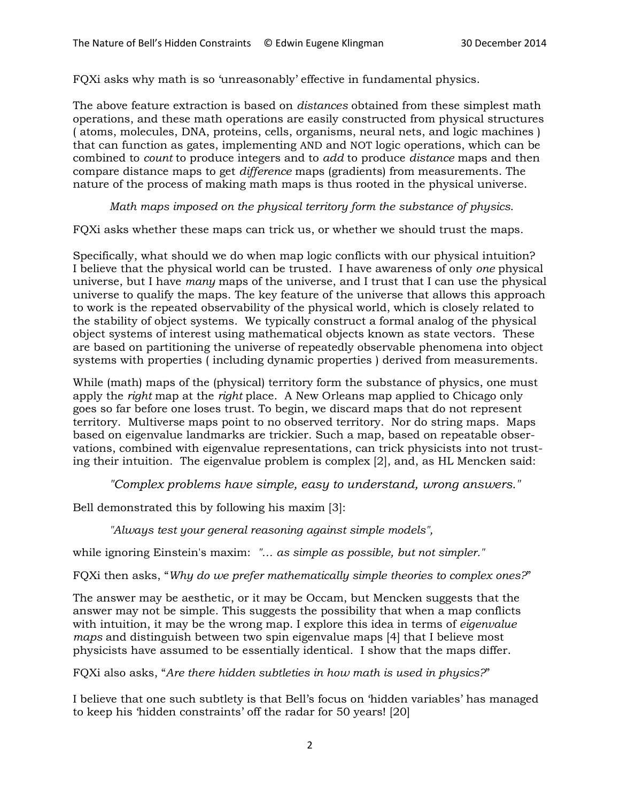FQXi asks why math is so 'unreasonably' effective in fundamental physics.

The above feature extraction is based on *distances* obtained from these simplest math operations, and these math operations are easily constructed from physical structures ( atoms, molecules, DNA, proteins, cells, organisms, neural nets, and logic machines ) that can function as gates, implementing AND and NOT logic operations, which can be combined to *count* to produce integers and to *add* to produce *distance* maps and then compare distance maps to get *difference* maps (gradients) from measurements. The nature of the process of making math maps is thus rooted in the physical universe.

#### *Math maps imposed on the physical territory form the substance of physics*.

FQXi asks whether these maps can trick us, or whether we should trust the maps.

Specifically, what should we do when map logic conflicts with our physical intuition? I believe that the physical world can be trusted. I have awareness of only *one* physical universe, but I have *many* maps of the universe, and I trust that I can use the physical universe to qualify the maps. The key feature of the universe that allows this approach to work is the repeated observability of the physical world, which is closely related to the stability of object systems. We typically construct a formal analog of the physical object systems of interest using mathematical objects known as state vectors. These are based on partitioning the universe of repeatedly observable phenomena into object systems with properties ( including dynamic properties ) derived from measurements.

While (math) maps of the (physical) territory form the substance of physics, one must apply the *right* map at the *right* place. A New Orleans map applied to Chicago only goes so far before one loses trust. To begin, we discard maps that do not represent territory. Multiverse maps point to no observed territory. Nor do string maps. Maps based on eigenvalue landmarks are trickier. Such a map, based on repeatable observations, combined with eigenvalue representations, can trick physicists into not trusting their intuition. The eigenvalue problem is complex [2], and, as HL Mencken said:

*"Complex problems have simple, easy to understand, wrong answers."*

Bell demonstrated this by following his maxim [3]:

*"Always test your general reasoning against simple models",* 

while ignoring Einstein's maxim: *"… as simple as possible, but not simpler."*

FQXi then asks, "*Why do we prefer mathematically simple theories to complex ones?*"

The answer may be aesthetic, or it may be Occam, but Mencken suggests that the answer may not be simple. This suggests the possibility that when a map conflicts with intuition, it may be the wrong map. I explore this idea in terms of *eigenvalue maps* and distinguish between two spin eigenvalue maps [4] that I believe most physicists have assumed to be essentially identical. I show that the maps differ.

FQXi also asks, "*Are there hidden subtleties in how math is used in physics?*"

I believe that one such subtlety is that Bell's focus on 'hidden variables' has managed to keep his 'hidden constraints' off the radar for 50 years! [20]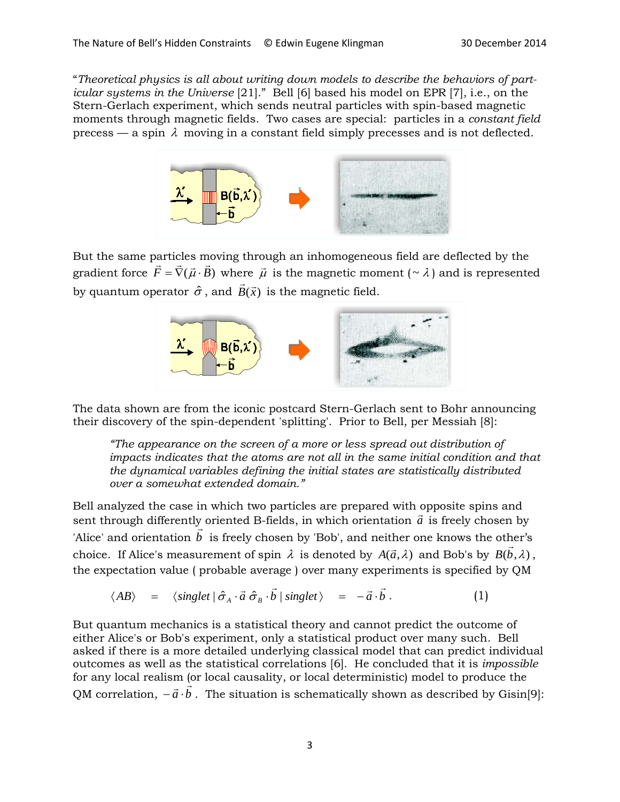"*Theoretical physics is all about writing down models to describe the behaviors of particular systems in the Universe* [21]." Bell [6] based his model on EPR [7], i.e., on the Stern-Gerlach experiment, which sends neutral particles with spin-based magnetic moments through magnetic fields. Two cases are special: particles in a *constant field* precess — a spin  $\lambda$  moving in a constant field simply precesses and is not deflected.



But the same particles moving through an inhomogeneous field are deflected by the But the same particles moving through an imfollogeneous field are deflected by the gradient force  $\vec{F} = \vec{\nabla}(\vec{\mu} \cdot \vec{B})$  where  $\vec{\mu}$  is the magnetic moment ( $\sim \lambda$ ) and is represented by quantum operator  $\hat{\sigma}$ , and  $\vec{B}(\vec{x})$  is the magnetic field.



The data shown are from the iconic postcard Stern-Gerlach sent to Bohr announcing their discovery of the spin-dependent 'splitting'. Prior to Bell, per Messiah [8]:

*"The appearance on the screen of a more or less spread out distribution of impacts indicates that the atoms are not all in the same initial condition and that the dynamical variables defining the initial states are statistically distributed over a somewhat extended domain."* 

Bell analyzed the case in which two particles are prepared with opposite spins and Ben analyzed the case in which two particles are prepared with opposite spins and<br>sent through differently oriented B-fields, in which orientation  $\vec{a}$  is freely chosen by Sent unough uneterity oriented B-neids, in which orientation  $\vec{u}$  is freely chosen by  $\vec{b}$  is freely chosen by 'Bob', and neither one knows the other's choice. If Alice's measurement of spin  $\lambda$  is denoted by  $A(\vec{a},\lambda)$  and Bob's by  $B(\vec{b},\lambda)$ , the expectation value ( probable average ) over many experiments is specified by QM

$$
\langle AB \rangle = \langle singlet | \hat{\sigma}_A \cdot \vec{a} \hat{\sigma}_B \cdot \vec{b} | singlet \rangle = -\vec{a} \cdot \vec{b} . \qquad (1)
$$

But quantum mechanics is a statistical theory and cannot predict the outcome of either Alice's or Bob's experiment, only a statistical product over many such. Bell asked if there is a more detailed underlying classical model that can predict individual outcomes as well as the statistical correlations [6]. He concluded that it is *impossible*  for any local realism (or local causality, or local deterministic) model to produce the for any local realism for local causality, or local deterministic) moder to produce the<br>QM correlation,  $-\vec{a} \cdot \vec{b}$ . The situation is schematically shown as described by Gisin[9]: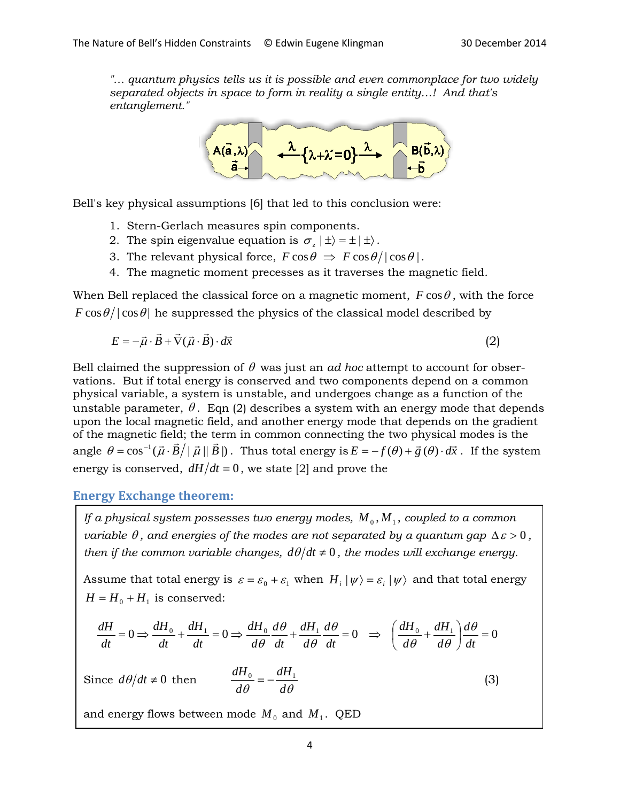*"… quantum physics tells us it is possible and even commonplace for two widely separated objects in space to form in reality a single entity…! And that's entanglement."*



Bell's key physical assumptions [6] that led to this conclusion were:

- 1. Stern-Gerlach measures spin components.
- 2. The spin eigenvalue equation is  $\sigma$ <sub>*z*</sub>  $| \pm \rangle = \pm | \pm \rangle$ .
- 3. The relevant physical force,  $F \cos \theta \Rightarrow F \cos \theta / |\cos \theta|$ .
- 4. The magnetic moment precesses as it traverses the magnetic field.

When Bell replaced the classical force on a magnetic moment,  $F \cos \theta$ , with the force  $F \cos \theta / |\cos \theta|$  he suppressed the physics of the classical model described by

$$
E = -\vec{\mu} \cdot \vec{B} + \vec{\nabla}(\vec{\mu} \cdot \vec{B}) \cdot d\vec{x}
$$
 (2)

Bell claimed the suppression of  $\theta$  was just an *ad hoc* attempt to account for observations. But if total energy is conserved and two components depend on a common physical variable, a system is unstable, and undergoes change as a function of the unstable parameter,  $\theta$ . Eqn (2) describes a system with an energy mode that depends upon the local magnetic field, and another energy mode that depends on the gradient of the magnetic field; the term in common connecting the two physical modes is the of the magnetic field, the term in common connecting the two physical modes is the apple  $\theta = \cos^{-1}(\vec{\mu} \cdot \vec{B}) |\vec{\mu}| |\vec{B}|$ . Thus total energy is  $E = -f(\theta) + \vec{g}(\theta) \cdot d\vec{x}$ . If the system energy is conserved,  $dH/dt = 0$ , we state [2] and prove the

**Energy Exchange theorem:**

*If a physical system possesses two energy modes,*  $M_0, M_1$ , *coupled to a common variable*  $\theta$ *, and energies of the modes are not separated by a quantum gap*  $\Delta \varepsilon > 0$ , *then if the common variable changes,*  $d\theta/dt \neq 0$ *, the modes will exchange energy.* 

Assume that total energy is  $\varepsilon = \varepsilon_0 + \varepsilon_1$  when  $H_i |\psi\rangle = \varepsilon_i |\psi\rangle$  and that total energy  $H = H_0 + H_1$  is conserved:

$$
\frac{dH}{dt} = 0 \Rightarrow \frac{dH_0}{dt} + \frac{dH_1}{dt} = 0 \Rightarrow \frac{dH_0}{d\theta} \frac{d\theta}{dt} + \frac{dH_1}{d\theta} \frac{d\theta}{dt} = 0 \Rightarrow \left(\frac{dH_0}{d\theta} + \frac{dH_1}{d\theta}\right) \frac{d\theta}{dt} = 0
$$

Since 
$$
d\theta/dt \neq 0
$$
 then 
$$
\frac{dH_0}{d\theta} = -\frac{dH_1}{d\theta}
$$
 (3)

and energy flows between mode  $M_0$  and  $M_1$ . QED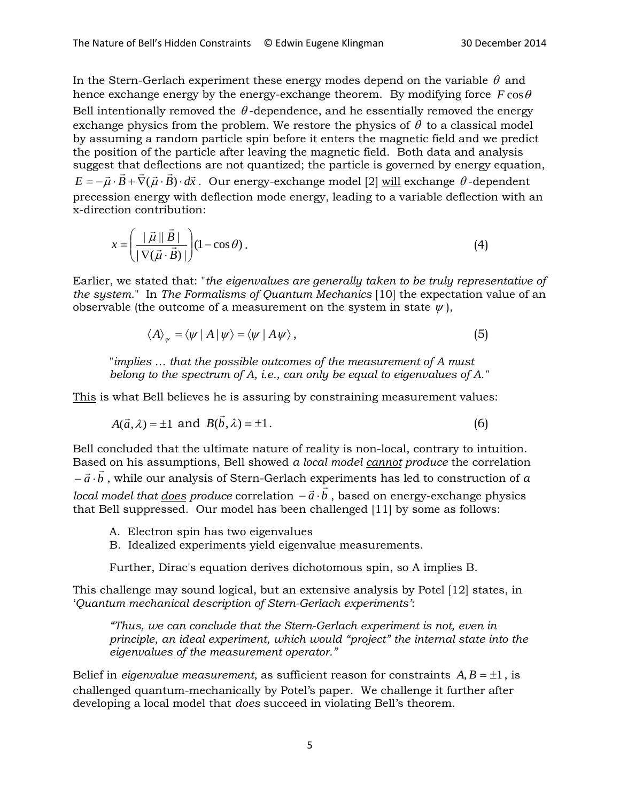In the Stern-Gerlach experiment these energy modes depend on the variable  $\theta$  and hence exchange energy by the energy-exchange theorem. By modifying force  $F \cos \theta$ Bell intentionally removed the  $\theta$ -dependence, and he essentially removed the energy exchange physics from the problem. We restore the physics of  $\theta$  to a classical model by assuming a random particle spin before it enters the magnetic field and we predict the position of the particle after leaving the magnetic field. Both data and analysis suggest that deflections are not quantized; the particle is governed by energy equation,  $E = -\vec{\mu} \cdot \vec{B} + \vec{\nabla}(\vec{\mu} \cdot \vec{B}) \cdot d\vec{x}$ . Our energy-exchange model [2] <u>will</u> exchange θ-dependent precession energy with deflection mode energy, leading to a variable deflection with an x-direction contribution:

$$
x = \left(\frac{\mid \vec{\mu} \parallel \vec{B} \mid}{\mid \nabla(\vec{\mu} \cdot \vec{B}) \mid}\right) (1 - \cos \theta). \tag{4}
$$

Earlier, we stated that: "*the eigenvalues are generally taken to be truly representative of the system*." In *The Formalisms of Quantum Mechanics* [10] the expectation value of an observable (the outcome of a measurement on the system in state  $\psi$ ),

$$
\langle A \rangle_{\psi} = \langle \psi \mid A \mid \psi \rangle = \langle \psi \mid A \psi \rangle, \tag{5}
$$

"*implies … that the possible outcomes of the measurement of A must belong to the spectrum of A, i.e., can only be equal to eigenvalues of A."*

This is what Bell believes he is assuring by constraining measurement values:

$$
A(\vec{a}, \lambda) = \pm 1 \text{ and } B(\vec{b}, \lambda) = \pm 1.
$$
 (6)

Bell concluded that the ultimate nature of reality is non-local, contrary to intuition. Based on his assumptions, Bell showed *a local model cannot produce* the correlation based on ins assumptions, ben snowed *a local model <u>cannot</u> produce* the correlation<br>− *a* ⋅ *b* , while our analysis of Stern-Gerlach experiments has led to construction of *a – a* ⋅ *b*, while our analysis of stern-deflacti experiments has led to construction of *a b local model that <u>does</u> produce* correlation  $-\vec{a} \cdot \vec{b}$ , based on energy-exchange physics that Bell suppressed. Our model has been challenged [11] by some as follows:

- A. Electron spin has two eigenvalues
- B. Idealized experiments yield eigenvalue measurements.

Further, Dirac's equation derives dichotomous spin, so A implies B.

This challenge may sound logical, but an extensive analysis by Potel [12] states, in '*Quantum mechanical description of Stern-Gerlach experiments'*:

*"Thus, we can conclude that the Stern-Gerlach experiment is not, even in principle, an ideal experiment, which would "project" the internal state into the eigenvalues of the measurement operator."*

Belief in *eigenvalue measurement*, as sufficient reason for constraints  $A, B = \pm 1$ , is challenged quantum-mechanically by Potel's paper. We challenge it further after developing a local model that *does* succeed in violating Bell's theorem.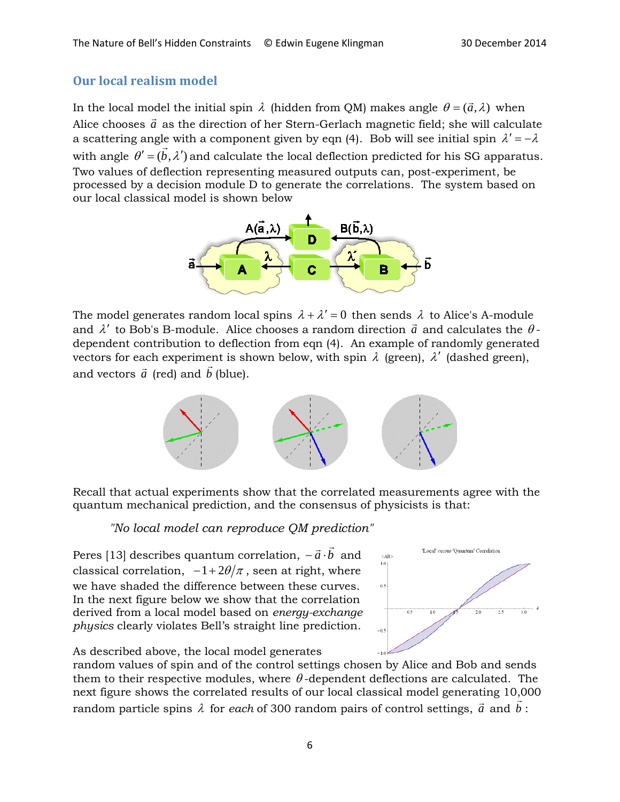### **Our local realism model**

In the local model the initial spin  $\lambda$  (hidden from QM) makes angle  $\theta = (\vec{a}, \lambda)$  when Alice chooses  $\vec{a}$  as the direction of her Stern-Gerlach magnetic field; she will calculate a scattering angle with a component given by eqn (4). Bob will see initial spin  $\lambda' = -\lambda$ with angle  $\theta' = (b, \lambda')$  and calculate the local deflection predicted for his SG apparatus. Two values of deflection representing measured outputs can, post-experiment, be processed by a decision module D to generate the correlations. The system based on our local classical model is shown below



The model generates random local spins  $\lambda + \lambda' = 0$  then sends  $\lambda$  to Alice's A-module and  $\lambda'$  to Bob's B-module. Alice chooses a random direction  $\vec{a}$  and calculates the  $\theta$ dependent contribution to deflection from eqn (4). An example of randomly generated vectors for each experiment is shown below, with spin  $\lambda$  (green),  $\lambda'$  (dashed green), and vectors  $\vec{a}$  (red) and  $\vec{b}$  (blue).



Recall that actual experiments show that the correlated measurements agree with the quantum mechanical prediction, and the consensus of physicists is that:

## *"No local model can reproduce QM prediction"*

Peres [13] describes quantum correlation,  $-\vec{a}\cdot\vec{b}\,$  and classical correlation,  $-1+2\theta/\pi$ , seen at right, where we have shaded the difference between these curves. In the next figure below we show that the correlation derived from a local model based on *energy-exchange physics* clearly violates Bell's straight line prediction.



As described above, the local model generates

random values of spin and of the control settings chosen by Alice and Bob and sends them to their respective modules, where  $\theta$ -dependent deflections are calculated. The next figure shows the correlated results of our local classical model generating 10,000 random particle spins  $\lambda$  for *each* of 300 random pairs of control settings,  $\vec{a}$  and  $\vec{b}$ :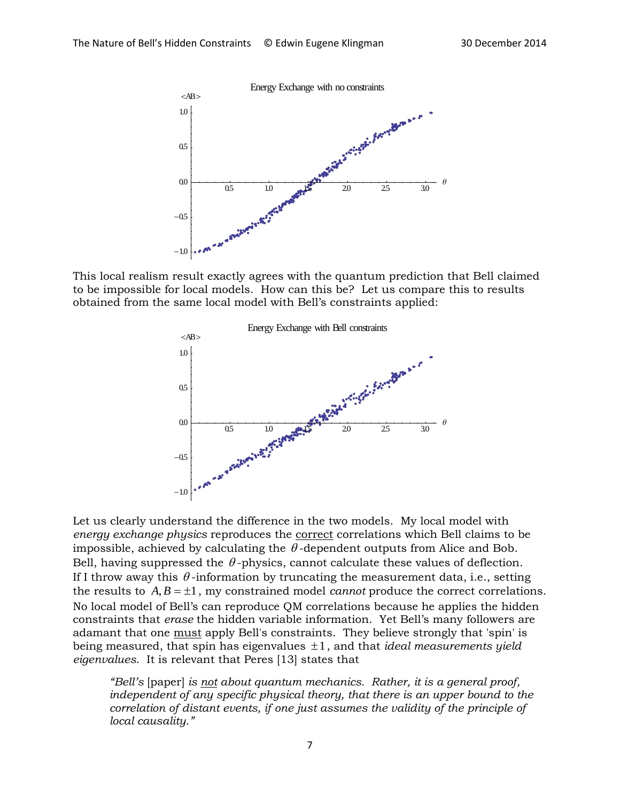

This local realism result exactly agrees with the quantum prediction that Bell claimed to be impossible for local models. How can this be? Let us compare this to results obtained from the same local model with Bell's constraints applied:



Let us clearly understand the difference in the two models. My local model with *energy exchange physics* reproduces the correct correlations which Bell claims to be impossible, achieved by calculating the  $\theta$ -dependent outputs from Alice and Bob. Bell, having suppressed the  $\theta$ -physics, cannot calculate these values of deflection. If I throw away this  $\theta$ -information by truncating the measurement data, i.e., setting the results to  $A, B = \pm 1$ , my constrained model *cannot* produce the correct correlations. No local model of Bell's can reproduce QM correlations because he applies the hidden constraints that *erase* the hidden variable information. Yet Bell's many followers are adamant that one must apply Bell's constraints. They believe strongly that 'spin' is being measured, that spin has eigenvalues ±1, and that *ideal measurements yield eigenvalues*. It is relevant that Peres [13] states that

*"Bell's* [paper] *is not about quantum mechanics. Rather, it is a general proof,*  independent of any specific physical theory, that there is an upper bound to the *correlation of distant events, if one just assumes the validity of the principle of local causality."*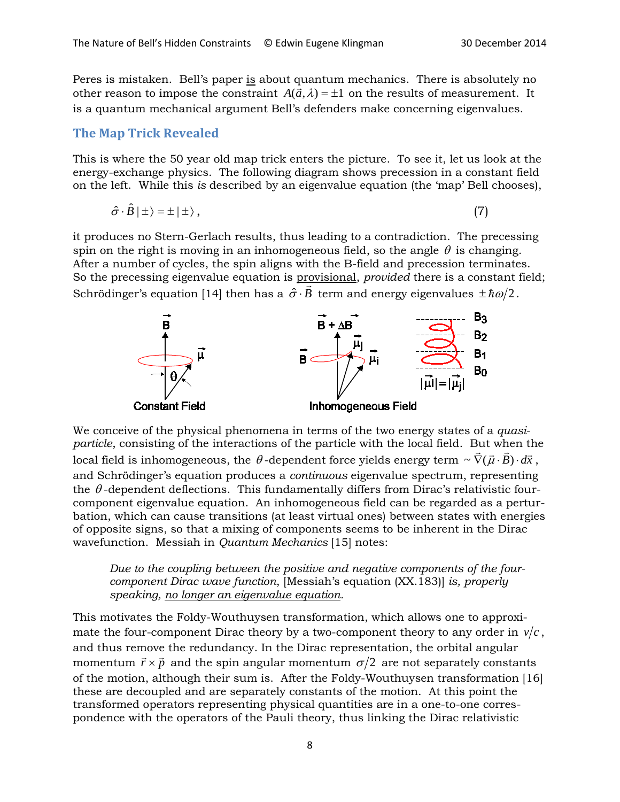Peres is mistaken. Bell's paper is about quantum mechanics. There is absolutely no other reason to impose the constraint  $A(\vec{a}, \lambda) = \pm 1$  on the results of measurement. It is a quantum mechanical argument Bell's defenders make concerning eigenvalues.

#### **The Map Trick Revealed**

This is where the 50 year old map trick enters the picture. To see it, let us look at the energy-exchange physics. The following diagram shows precession in a constant field on the left. While this *is* described by an eigenvalue equation (the 'map' Bell chooses),

$$
\hat{\sigma} \cdot \hat{B} \mid \pm \rangle = \pm \mid \pm \rangle \,, \tag{7}
$$

it produces no Stern-Gerlach results, thus leading to a contradiction. The precessing spin on the right is moving in an inhomogeneous field, so the angle  $\theta$  is changing. After a number of cycles, the spin aligns with the B-field and precession terminates. So the precessing eigenvalue equation is provisional, *provided* there is a constant field; Schrödinger's equation [14] then has a  $\hat{\sigma} \cdot B$  term and energy eigenvalues  $\pm \hbar \omega /2$  .



We conceive of the physical phenomena in terms of the two energy states of a *quasiparticle*, consisting of the interactions of the particle with the local field. But when the *paracie*, consisting or the interactions or the particle with the local field. But when the<br>local field is inhomogeneous, the  $\theta$ -dependent force yields energy term  $\sim \vec{\nabla}(\vec{\mu} \cdot \vec{B}) \cdot d\vec{x}$ , and Schrödinger's equation produces a *continuous* eigenvalue spectrum, representing the  $\theta$ -dependent deflections. This fundamentally differs from Dirac's relativistic fourcomponent eigenvalue equation. An inhomogeneous field can be regarded as a perturbation, which can cause transitions (at least virtual ones) between states with energies of opposite signs, so that a mixing of components seems to be inherent in the Dirac wavefunction. Messiah in *Quantum Mechanics* [15] notes:

*Due to the coupling between the positive and negative components of the fourcomponent Dirac wave function*, [Messiah's equation (XX.183)] *is, properly speaking, no longer an eigenvalue equation.* 

This motivates the Foldy-Wouthuysen transformation, which allows one to approximate the four-component Dirac theory by a two-component theory to any order in  $v/c$ , and thus remove the redundancy. In the Dirac representation, the orbital angular momentum  $\vec{r} \times \vec{p}$  and the spin angular momentum  $\sigma/2$  are not separately constants of the motion, although their sum is. After the Foldy-Wouthuysen transformation [16] these are decoupled and are separately constants of the motion. At this point the transformed operators representing physical quantities are in a one-to-one correspondence with the operators of the Pauli theory, thus linking the Dirac relativistic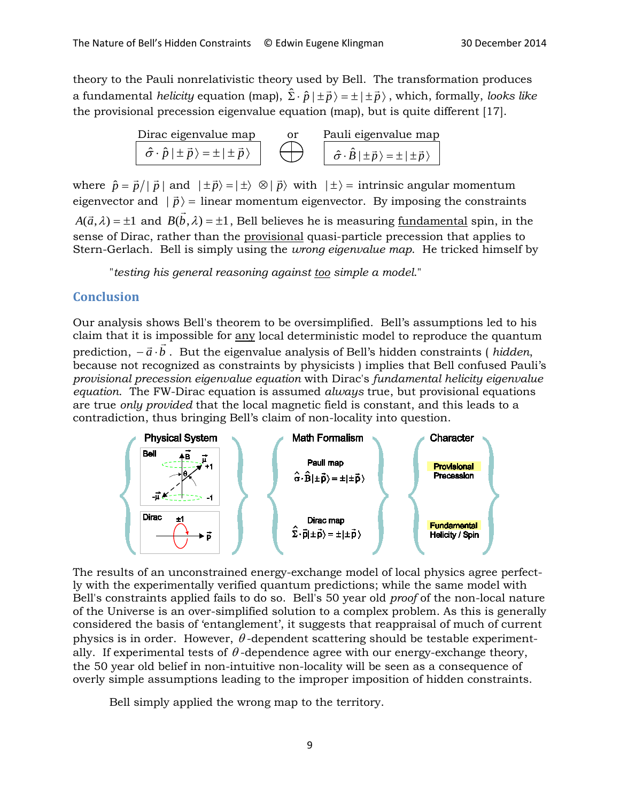theory to the Pauli nonrelativistic theory used by Bell. The transformation produces a fundamental *helicity* equation (map),  $\hat{\Sigma} \cdot \hat{p} | \pm \vec{p} \rangle = \pm | \pm \vec{p} \rangle$ , which, formally, *looks like* the provisional precession eigenvalue equation (map), but is quite different [17].

Dirac eigenvalue map  
\n
$$
\hat{\sigma} \cdot \hat{p} | \pm \vec{p} \rangle = \pm | \pm \vec{p} \rangle
$$
 or Pauli eigenvalue map  
\n $\hat{\sigma} \cdot \hat{B} | \pm \vec{p} \rangle = \pm | \pm \vec{p} \rangle$ 

where  $\hat{p} = \vec{p}/|\vec{p}|$  and  $|\pm \vec{p}\rangle = |\pm \rangle \otimes |\vec{p}\rangle$  with  $|\pm \rangle =$  intrinsic angular momentum eigenvector and  $|\vec{p}\rangle$  = linear momentum eigenvector. By imposing the constraints  $A(\vec{a},\lambda) = \pm 1$  and  $B(\vec{b},\lambda) = \pm 1$ , Bell believes he is measuring <u>fundamental</u> spin, in the sense of Dirac, rather than the provisional quasi-particle precession that applies to Stern-Gerlach. Bell is simply using the *wrong eigenvalue map*. He tricked himself by

"*testing his general reasoning against too simple a model*."

#### **Conclusion**

Our analysis shows Bell's theorem to be oversimplified. Bell's assumptions led to his claim that it is impossible for any local deterministic model to reproduce the quantum ciann that it is impossible for <u>any</u> focal deterministic moder to reproduce the quantum<br>prediction, −*ā ⋅b* . But the eigenvalue analysis of Bell's hidden constraints ( *hidden*, because not recognized as constraints by physicists ) implies that Bell confused Pauli's *provisional precession eigenvalue equation* with Dirac's *fundamental helicity eigenvalue equation*. The FW-Dirac equation is assumed *always* true, but provisional equations are true *only provided* that the local magnetic field is constant, and this leads to a



The results of an unconstrained energy-exchange model of local physics agree perfectly with the experimentally verified quantum predictions; while the same model with Bell's constraints applied fails to do so. Bell's 50 year old *proof* of the non-local nature of the Universe is an over-simplified solution to a complex problem. As this is generally considered the basis of 'entanglement', it suggests that reappraisal of much of current physics is in order. However,  $\theta$ -dependent scattering should be testable experimentally. If experimental tests of  $\theta$ -dependence agree with our energy-exchange theory, the 50 year old belief in non-intuitive non-locality will be seen as a consequence of overly simple assumptions leading to the improper imposition of hidden constraints.

Bell simply applied the wrong map to the territory.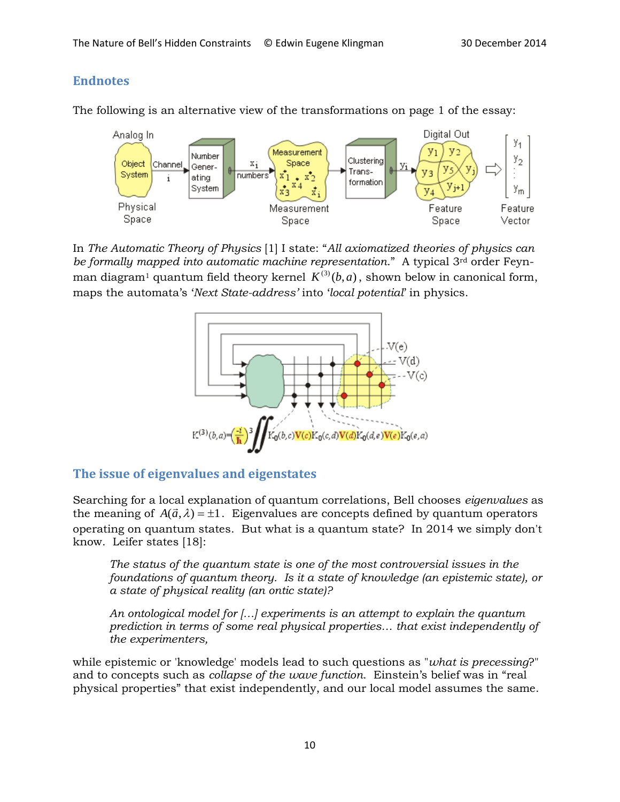## **Endnotes**

The following is an alternative view of the transformations on page 1 of the essay:



In *The Automatic Theory of Physics* [1] I state: "*All axiomatized theories of physics can be formally mapped into automatic machine representation*." A typical 3rd order Feynman diagram<sup>1</sup> quantum field theory kernel  $K^{(3)}(b, a)$ , shown below in canonical form, maps the automata's '*Next State-address'* into '*local potential*' in physics.



#### **The issue of eigenvalues and eigenstates**

Searching for a local explanation of quantum correlations, Bell chooses *eigenvalues* as the meaning of  $A(\vec{a},\lambda) = \pm 1$ . Eigenvalues are concepts defined by quantum operators operating on quantum states. But what is a quantum state? In 2014 we simply don't know. Leifer states [18]:

*The status of the quantum state is one of the most controversial issues in the foundations of quantum theory. Is it a state of knowledge (an epistemic state), or a state of physical reality (an ontic state)?*

*An ontological model for […] experiments is an attempt to explain the quantum prediction in terms of some real physical properties… that exist independently of the experimenters,*

while epistemic or 'knowledge' models lead to such questions as "*what is precessing*?" and to concepts such as *collapse of the wave function*. Einstein's belief was in "real physical properties" that exist independently, and our local model assumes the same.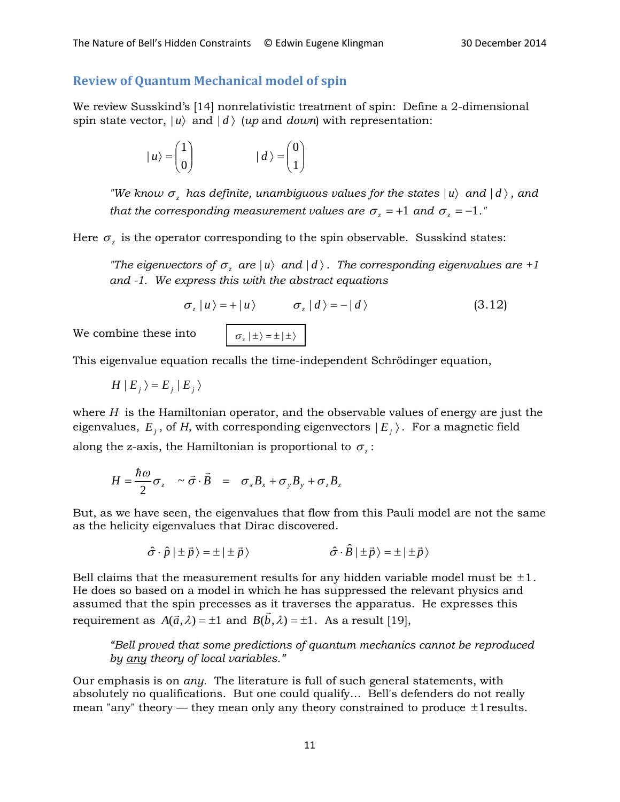#### **Review of Quantum Mechanical model of spin**

We review Susskind's [14] nonrelativistic treatment of spin: Define a 2-dimensional spin state vector,  $|u\rangle$  and  $|d\rangle$  (*up* and *down*) with representation:

$$
|u\rangle = \begin{pmatrix} 1 \\ 0 \end{pmatrix} \qquad |d\rangle = \begin{pmatrix} 0 \\ 1 \end{pmatrix}
$$

*"We know*  $\sigma$ *, has definite, unambiguous values for the states*  $|u\rangle$  *and*  $|d\rangle$ *, and that the corresponding measurement values are*  $\sigma_z = +1$  *and*  $\sigma_z = -1$ *."* 

Here  $\sigma_z$  is the operator corresponding to the spin observable. Susskind states:

*"The eigenvectors of*  $\sigma_z$  *are*  $|u\rangle$  *and*  $|d\rangle$ . *The corresponding eigenvalues are* +1 *and -1. We express this with the abstract equations*

$$
\sigma_z |u\rangle = + |u\rangle \qquad \sigma_z |d\rangle = -|d\rangle \qquad (3.12)
$$

We combine these into  $\sigma_z | \pm \rangle = \pm | \pm \rangle$ 

$$
\sigma_z | \pm \rangle = \pm | \pm \rangle
$$

This eigenvalue equation recalls the time-independent Schrödinger equation,

 $H | E_i \rangle = E_i | E_i \rangle$ 

where *H* is the Hamiltonian operator, and the observable values of energy are just the eigenvalues,  $E_i$ , of *H*, with corresponding eigenvectors  $|E_i\rangle$ . For a magnetic field along the z-axis, the Hamiltonian is proportional to  $\sigma$ .

$$
H = \frac{\hbar \omega}{2} \sigma_z \sim \vec{\sigma} \cdot \vec{B} = \sigma_x B_x + \sigma_y B_y + \sigma_z B_z
$$

But, as we have seen, the eigenvalues that flow from this Pauli model are not the same as the helicity eigenvalues that Dirac discovered.

$$
\hat{\sigma} \cdot \hat{p} | \pm \vec{p} \rangle = \pm | \pm \vec{p} \rangle \qquad \hat{\sigma} \cdot \hat{B} | \pm \vec{p} \rangle = \pm | \pm \vec{p} \rangle
$$

Bell claims that the measurement results for any hidden variable model must be  $\pm 1$ . He does so based on a model in which he has suppressed the relevant physics and assumed that the spin precesses as it traverses the apparatus. He expresses this requirement as  $A(\vec{a}, \lambda) = \pm 1$  and  $B(\vec{b}, \lambda) = \pm 1$ . As a result [19],

*"Bell proved that some predictions of quantum mechanics cannot be reproduced by any theory of local variables."* 

Our emphasis is on *any*. The literature is full of such general statements, with absolutely no qualifications. But one could qualify… Bell's defenders do not really mean "any" theory — they mean only any theory constrained to produce  $\pm 1$  results.